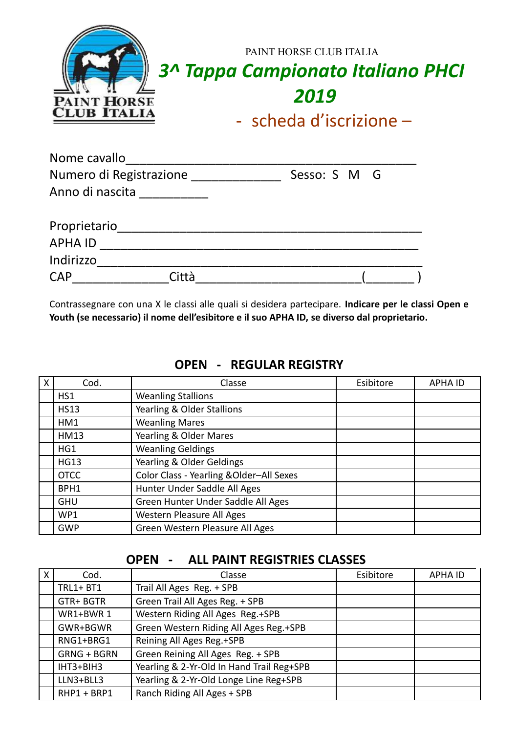| Nome cavallo            |              |
|-------------------------|--------------|
| Numero di Registrazione | Sesso: S M G |
| Anno di nascita         |              |
| Proprietario            |              |
| <b>APHA ID</b>          |              |
| Indirizzo               |              |
| <b>CAP</b>              |              |

Contrassegnare con una X le classi alle quali si desidera partecipare. **Indicare per le classi Open e Youth (se necessario) il nome dell'esibitore e il suo APHA ID, se diverso dal proprietario.**

| X | Cod.        | Classe                                   | Esibitore | <b>APHA ID</b> |
|---|-------------|------------------------------------------|-----------|----------------|
|   | HS1         | <b>Weanling Stallions</b>                |           |                |
|   | <b>HS13</b> | Yearling & Older Stallions               |           |                |
|   | HM1         | <b>Weanling Mares</b>                    |           |                |
|   | <b>HM13</b> | Yearling & Older Mares                   |           |                |
|   | HG1         | <b>Weanling Geldings</b>                 |           |                |
|   | <b>HG13</b> | Yearling & Older Geldings                |           |                |
|   | <b>OTCC</b> | Color Class - Yearling & Older-All Sexes |           |                |
|   | BPH1        | Hunter Under Saddle All Ages             |           |                |
|   | <b>GHU</b>  | Green Hunter Under Saddle All Ages       |           |                |
|   | WP1         | Western Pleasure All Ages                |           |                |
|   | <b>GWP</b>  | Green Western Pleasure All Ages          |           |                |

#### **OPEN - REGULAR REGISTRY**

#### **OPEN - ALL PAINT REGISTRIES CLASSES**

| X | Cod.               | Classe                                    | Esibitore | <b>APHA ID</b> |
|---|--------------------|-------------------------------------------|-----------|----------------|
|   | $TRL1 + BT1$       | Trail All Ages Reg. + SPB                 |           |                |
|   | GTR+BGTR           | Green Trail All Ages Reg. + SPB           |           |                |
|   | WR1+BWR 1          | Western Riding All Ages Reg.+SPB          |           |                |
|   | GWR+BGWR           | Green Western Riding All Ages Reg.+SPB    |           |                |
|   | RNG1+BRG1          | Reining All Ages Reg.+SPB                 |           |                |
|   | <b>GRNG + BGRN</b> | Green Reining All Ages Reg. + SPB         |           |                |
|   | $IHT3 + BIH3$      | Yearling & 2-Yr-Old In Hand Trail Reg+SPB |           |                |
|   | LLN3+BLL3          | Yearling & 2-Yr-Old Longe Line Reg+SPB    |           |                |
|   | RHP1 + BRP1        | Ranch Riding All Ages + SPB               |           |                |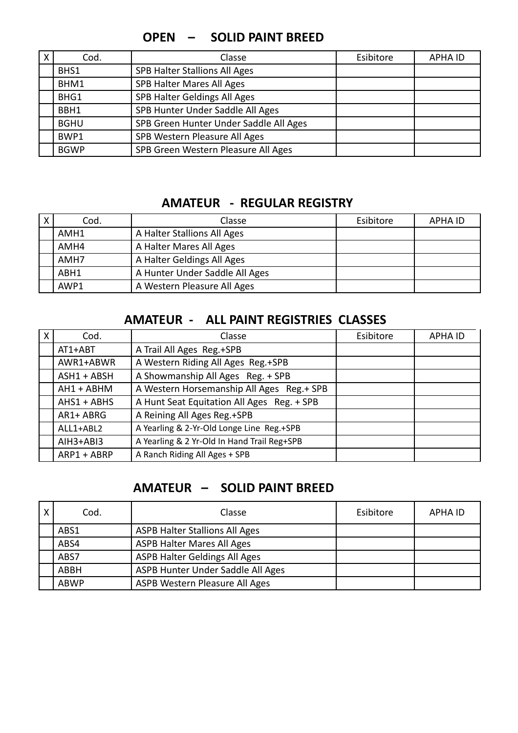#### **OPEN – SOLID PAINT BREED**

| X | Cod.        | Classe                                 | Esibitore | <b>APHA ID</b> |
|---|-------------|----------------------------------------|-----------|----------------|
|   | BHS1        | SPB Halter Stallions All Ages          |           |                |
|   | BHM1        | SPB Halter Mares All Ages              |           |                |
|   | BHG1        | SPB Halter Geldings All Ages           |           |                |
|   | BBH1        | SPB Hunter Under Saddle All Ages       |           |                |
|   | <b>BGHU</b> | SPB Green Hunter Under Saddle All Ages |           |                |
|   | BWP1        | SPB Western Pleasure All Ages          |           |                |
|   | <b>BGWP</b> | SPB Green Western Pleasure All Ages    |           |                |

### **AMATEUR - REGULAR REGISTRY**

| $\boldsymbol{X}$ | Cod. | Classe                         | Esibitore | <b>APHA ID</b> |
|------------------|------|--------------------------------|-----------|----------------|
|                  | AMH1 | A Halter Stallions All Ages    |           |                |
|                  | AMH4 | A Halter Mares All Ages        |           |                |
|                  | AMH7 | A Halter Geldings All Ages     |           |                |
|                  | ABH1 | A Hunter Under Saddle All Ages |           |                |
|                  | AWP1 | A Western Pleasure All Ages    |           |                |

#### **AMATEUR - ALL PAINT REGISTRIES CLASSES**

| X | Cod.          | Classe                                      | Esibitore | <b>APHA ID</b> |
|---|---------------|---------------------------------------------|-----------|----------------|
|   | AT1+ABT       | A Trail All Ages Reg.+SPB                   |           |                |
|   | AWR1+ABWR     | A Western Riding All Ages Reg.+SPB          |           |                |
|   | $ASH1 + ABSH$ | A Showmanship All Ages Reg. + SPB           |           |                |
|   | AH1 + ABHM    | A Western Horsemanship All Ages Reg.+ SPB   |           |                |
|   | $AHS1 + ABHS$ | A Hunt Seat Equitation All Ages Reg. + SPB  |           |                |
|   | AR1+ ABRG     | A Reining All Ages Reg.+SPB                 |           |                |
|   | ALL1+ABL2     | A Yearling & 2-Yr-Old Longe Line Reg.+SPB   |           |                |
|   | $AIH3+ABI3$   | A Yearling & 2 Yr-Old In Hand Trail Reg+SPB |           |                |
|   | ARP1 + ABRP   | A Ranch Riding All Ages + SPB               |           |                |

#### **AMATEUR – SOLID PAINT BREED**

| X | Cod.        | Classe                                | Esibitore | APHA ID |
|---|-------------|---------------------------------------|-----------|---------|
|   | ABS1        | <b>ASPB Halter Stallions All Ages</b> |           |         |
|   | ABS4        | <b>ASPB Halter Mares All Ages</b>     |           |         |
|   | ABS7        | <b>ASPB Halter Geldings All Ages</b>  |           |         |
|   | ABBH        | ASPB Hunter Under Saddle All Ages     |           |         |
|   | <b>ABWP</b> | ASPB Western Pleasure All Ages        |           |         |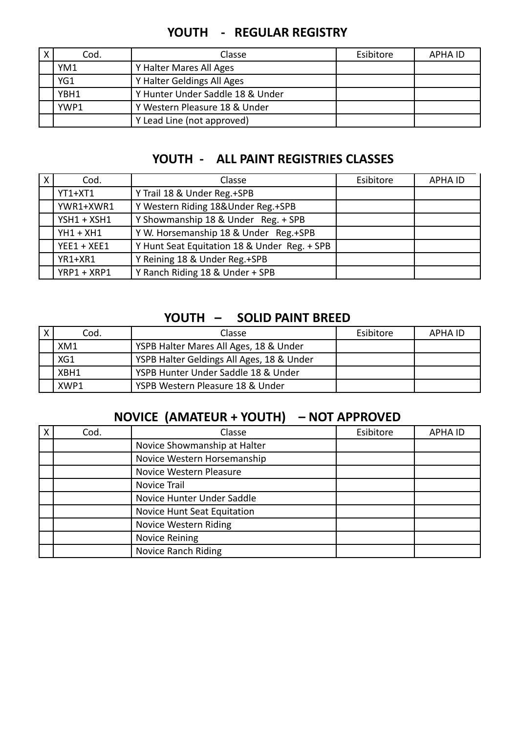| Χ | Cod. | Classe                           | Esibitore | APHA ID |
|---|------|----------------------------------|-----------|---------|
|   | YM1  | Y Halter Mares All Ages          |           |         |
|   | YG1  | Y Halter Geldings All Ages       |           |         |
|   | YBH1 | Y Hunter Under Saddle 18 & Under |           |         |
|   | YWP1 | Y Western Pleasure 18 & Under    |           |         |
|   |      | Y Lead Line (not approved)       |           |         |

### **YOUTH - REGULAR REGISTRY**

#### **YOUTH - ALL PAINT REGISTRIES CLASSES**

| X | Cod.          | Classe                                       | Esibitore | <b>APHA ID</b> |
|---|---------------|----------------------------------------------|-----------|----------------|
|   | $YT1+XT1$     | Y Trail 18 & Under Reg.+SPB                  |           |                |
|   | YWR1+XWR1     | Y Western Riding 18&Under Reg.+SPB           |           |                |
|   | $YSH1 + XSH1$ | Y Showmanship 18 & Under Reg. + SPB          |           |                |
|   | $YH1 + XH1$   | Y W. Horsemanship 18 & Under Reg.+SPB        |           |                |
|   | $YEE1 + XEE1$ | Y Hunt Seat Equitation 18 & Under Reg. + SPB |           |                |
|   | YR1+XR1       | Y Reining 18 & Under Reg.+SPB                |           |                |
|   | YRP1 + XRP1   | Y Ranch Riding 18 & Under + SPB              |           |                |

#### **YOUTH – SOLID PAINT BREED**

| Cod. | <b>Classe</b>                             | Esibitore | APHA ID |
|------|-------------------------------------------|-----------|---------|
| XM1  | YSPB Halter Mares All Ages, 18 & Under    |           |         |
| XG1  | YSPB Halter Geldings All Ages, 18 & Under |           |         |
| XBH1 | YSPB Hunter Under Saddle 18 & Under       |           |         |
| XWP1 | YSPB Western Pleasure 18 & Under          |           |         |

## **NOVICE (AMATEUR + YOUTH) – NOT APPROVED**

| Cod. | Classe                       | Esibitore | <b>APHA ID</b> |
|------|------------------------------|-----------|----------------|
|      | Novice Showmanship at Halter |           |                |
|      | Novice Western Horsemanship  |           |                |
|      | Novice Western Pleasure      |           |                |
|      | Novice Trail                 |           |                |
|      | Novice Hunter Under Saddle   |           |                |
|      | Novice Hunt Seat Equitation  |           |                |
|      | Novice Western Riding        |           |                |
|      | <b>Novice Reining</b>        |           |                |
|      | Novice Ranch Riding          |           |                |